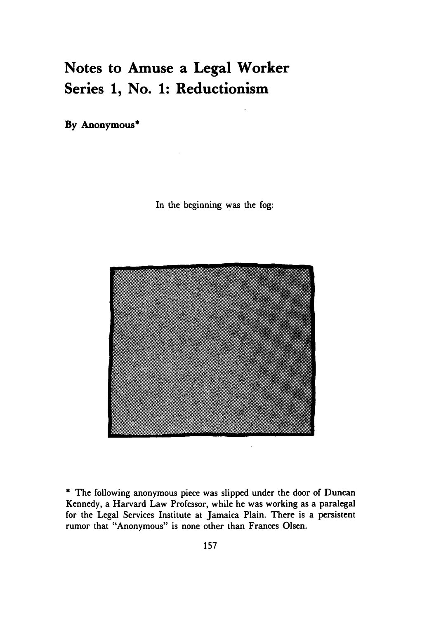## **Notes to Amuse a Legal Worker Series 1, No. 1: Reductionism**

**By Anonymous\***

In the beginning was the fog:



**\*** The following anonymous piece was slipped under the door of Duncan Kennedy, a Harvard Law Professor, while he was working as a paralegal for the Legal Services Institute at Jamaica Plain. There is a persistent rumor that "Anonymous" is none other than Frances Olsen.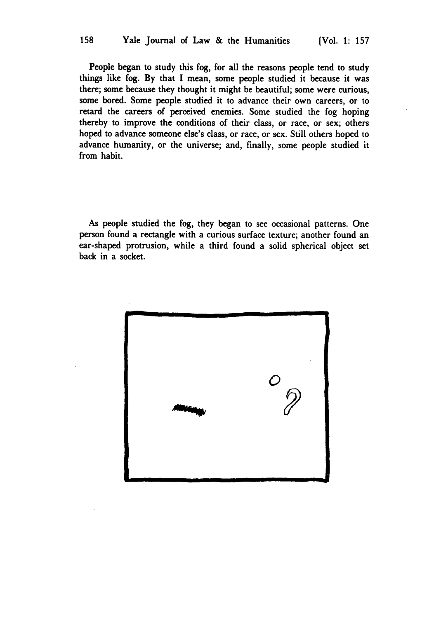158

People began to study this fog, for all the reasons people tend to study things like fog. **By** that I mean, some people studied it because it was there; some because they thought it might be beautiful; some were curious, some bored. Some people studied it to advance their own careers, or to retard the careers of perceived enemies. Some studied the fog hoping thereby to improve the conditions of their class, or race, or sex; others hoped to advance someone else's class, or race, or sex. Still others hoped to advance humanity, or the universe; and, finally, some people studied it from habit.

As people studied the fog, they began to see occasional patterns. One person found a rectangle with a curious surface texture; another found an ear-shaped protrusion, while a third found a solid spherical object set back in a socket.

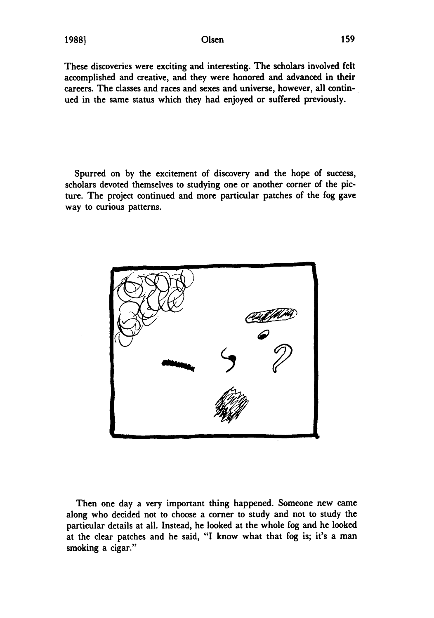These discoveries were exciting and interesting. The scholars involved felt accomplished and creative, and they were honored and advanced in their careers. The classes and races and sexes and universe, however, all continued in the same status which they had enjoyed or suffered previously.

Spurred on **by** the excitement of discovery and the hope of success, scholars devoted themselves to studying one or another corner of the picture. The project continued and more particular patches of the fog gave way to curious patterns.



Then one day a very important thing happened. Someone new came along who decided not to choose a corner to study and not to study the particular details at all. Instead, he looked at the whole fog and he looked at the clear patches and he said, "I know what that fog is; it's a man smoking a cigar."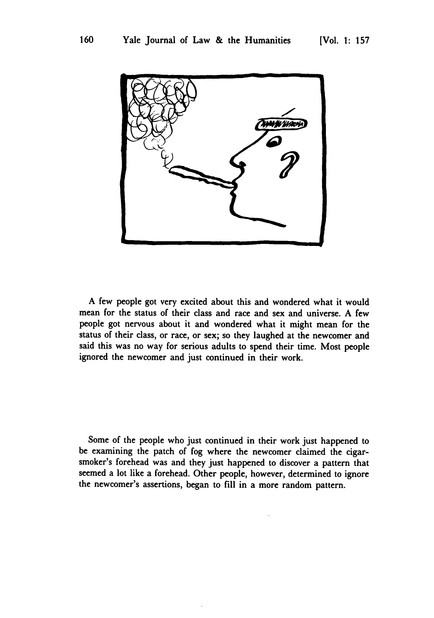

A few people got very excited about this and wondered what it would mean for the status of their class and race and sex and universe. A few people got nervous about it and wondered what it might mean for the status of their class, or race, or sex; so they laughed at the newcomer and said this was no way for serious adults to spend their time. Most people ignored the newcomer and just continued in their work.

Some of the people who just continued in their work just happened to be examining the patch of fog where the newcomer claimed the cigarsmoker's forehead was and they just happened to discover a pattern that seemed a lot like a forehead. Other people, however, determined to ignore the newcomer's assertions, began to **fill** in a more random pattern.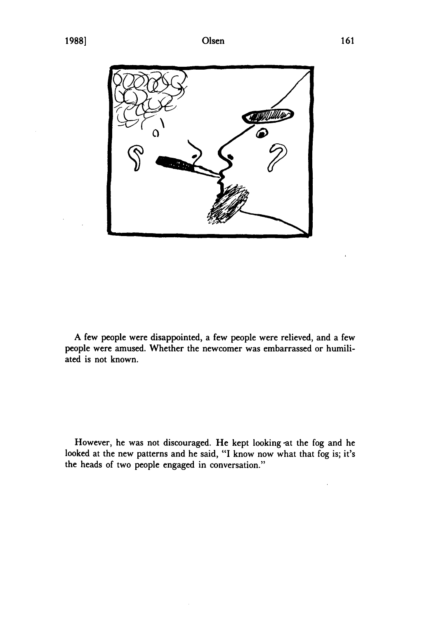

A few people were disappointed, a few people were relieved, and a few people were amused. Whether the newcomer was embarrassed or humiliated is not known.

However, he was not discouraged. He kept looking at the fog and he looked at the new patterns and he said, "I know now what that fog is; it's the heads of two people engaged in conversation."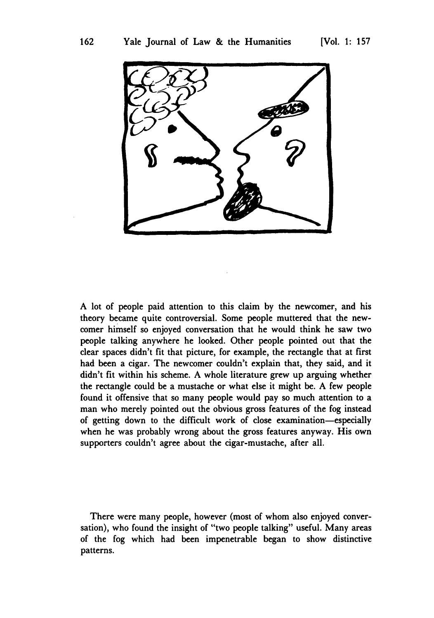

A lot of people paid attention to this claim **by** the newcomer, and his theory became quite controversial. Some people muttered that the newcomer himself so enjoyed conversation that he would think he saw two people talking anywhere he looked. Other people pointed out that the clear spaces didn't fit that picture, for example, the rectangle that at first had been a cigar. The newcomer couldn't explain that, they said, and it didn't fit within his scheme. A whole literature grew up arguing whether the rectangle could be a mustache or what else it might be. A few people found it offensive that so many people would pay so much attention to a man who merely pointed out the obvious gross features of the fog instead of getting down to the difficult work of close examination-especially when he was probably wrong about the gross features anyway. His own supporters couldn't agree about the cigar-mustache, after all.

There were many people, however (most of whom also enjoyed conversation), who found the insight of "two people talking" useful. Many areas of the fog which had been impenetrable began to show distinctive patterns.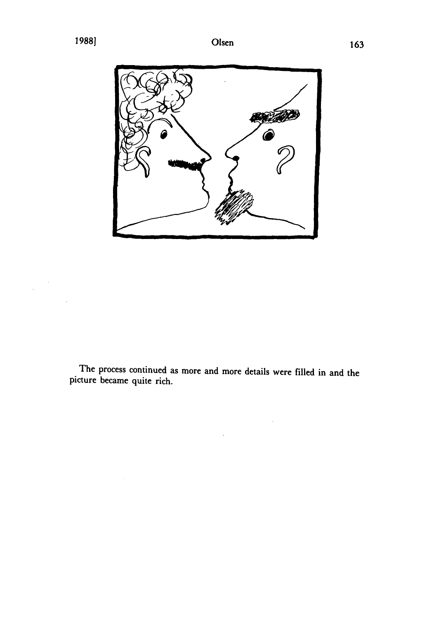$\ddot{\phantom{a}}$ 



The process continued as more and more details were filled in and the picture became quite rich.

 $\bar{z}$